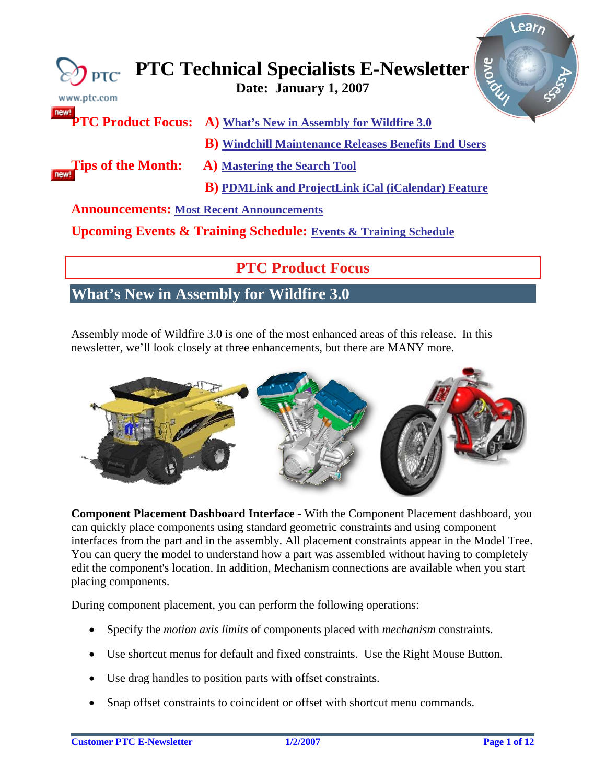<span id="page-0-0"></span>

| $)$ ptc $\cdot$<br>www.ptc.com                  | Arove<br><b>PTC Technical Specialists E-Newsletter</b>                         |
|-------------------------------------------------|--------------------------------------------------------------------------------|
|                                                 | <b>PTC Product Focus:</b> A) What's New in Assembly for Wildfire 3.0           |
|                                                 | <b>B</b> ) Windchill Maintenance Releases Benefits End Users                   |
| Tips of the Month:                              | <b>A)</b> Mastering the Search Tool                                            |
|                                                 | <b>B</b> ) PDMLink and ProjectLink iCal (iCalendar) Feature                    |
| <b>Announcements: Most Recent Announcements</b> |                                                                                |
|                                                 | <b>Upcoming Events &amp; Training Schedule: Events &amp; Training Schedule</b> |
|                                                 |                                                                                |

# **PTC Product Focus**

# **What's New in Assembly for Wildfire 3.0**

Assembly mode of Wildfire 3.0 is one of the most enhanced areas of this release. In this newsletter, we'll look closely at three enhancements, but there are MANY more.



**Component Placement Dashboard Interface** - With the Component Placement dashboard, you can quickly place components using standard geometric constraints and using component interfaces from the part and in the assembly. All placement constraints appear in the Model Tree. You can query the model to understand how a part was assembled without having to completely edit the component's location. In addition, Mechanism connections are available when you start placing components.

During component placement, you can perform the following operations:

- Specify the *motion axis limits* of components placed with *mechanism* constraints.
- Use shortcut menus for default and fixed constraints. Use the Right Mouse Button.
- Use drag handles to position parts with offset constraints.
- Snap offset constraints to coincident or offset with shortcut menu commands.

ear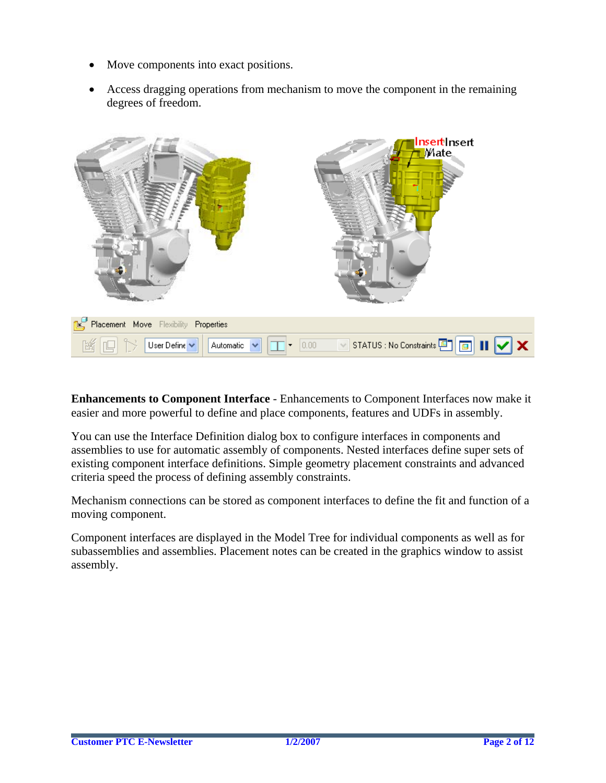- Move components into exact positions.
- Access dragging operations from mechanism to move the component in the remaining degrees of freedom.



**Enhancements to Component Interface** - Enhancements to Component Interfaces now make it easier and more powerful to define and place components, features and UDFs in assembly.

You can use the Interface Definition dialog box to configure interfaces in components and assemblies to use for automatic assembly of components. Nested interfaces define super sets of existing component interface definitions. Simple geometry placement constraints and advanced criteria speed the process of defining assembly constraints.

Mechanism connections can be stored as component interfaces to define the fit and function of a moving component.

Component interfaces are displayed in the Model Tree for individual components as well as for subassemblies and assemblies. Placement notes can be created in the graphics window to assist assembly.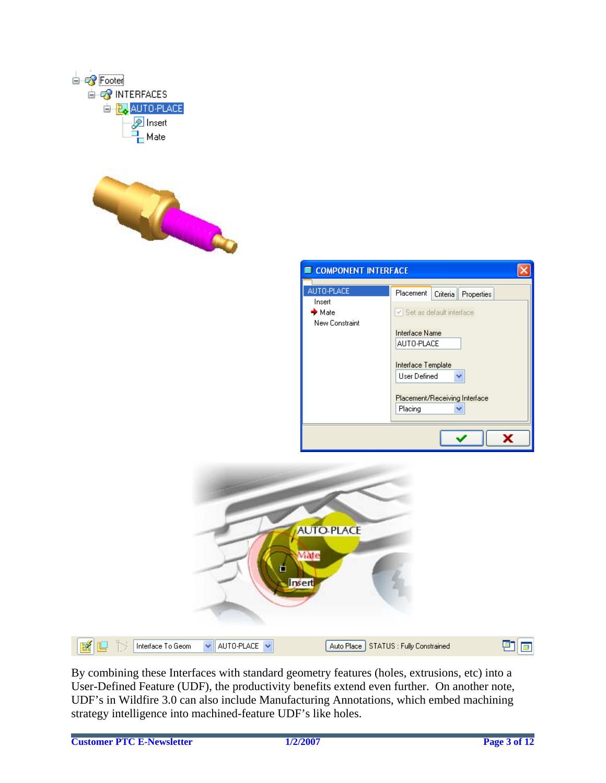

By combining these Interfaces with standard geometry features (holes, extrusions, etc) into a User-Defined Feature (UDF), the productivity benefits extend even further. On another note, UDF's in Wildfire 3.0 can also include Manufacturing Annotations, which embed machining strategy intelligence into machined-feature UDF's like holes.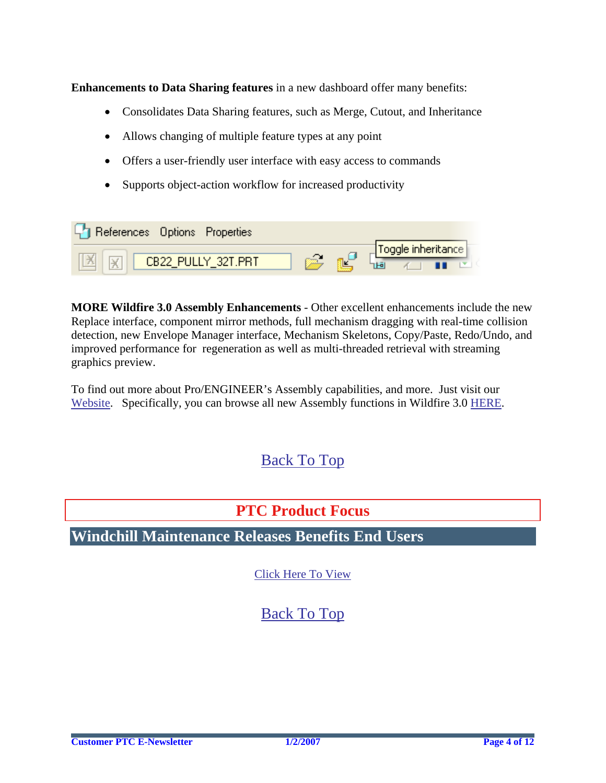<span id="page-3-0"></span>**Enhancements to Data Sharing features** in a new dashboard offer many benefits:

- Consolidates Data Sharing features, such as Merge, Cutout, and Inheritance
- Allows changing of multiple feature types at any point
- Offers a user-friendly user interface with easy access to commands
- Supports object-action workflow for increased productivity

| For References Options Properties |            |                                  |
|-----------------------------------|------------|----------------------------------|
| <b>X</b> X CB22_PULLY_32T.PRT     | <b>REP</b> | Toggle inheritance<br>50 4 1 1 2 |

**MORE Wildfire 3.0 Assembly Enhancements** - Other excellent enhancements include the new Replace interface, component mirror methods, full mechanism dragging with real-time collision detection, new Envelope Manager interface, Mechanism Skeletons, Copy/Paste, Redo/Undo, and improved performance for regeneration as well as multi-threaded retrieval with streaming graphics preview.

To find out more about Pro/ENGINEER's Assembly capabilities, and more. Just visit our [Website](http://www.ptc.com/products/tutorials/detailed_design.htm). Specifically, you can browse all new Assembly functions in Wildfire 3.0 [HERE.](http://www.ptc.com/appserver/wcms/relnotes/category.jsp?version=3198&type=2928)

# [Back To Top](#page-0-0)

# **PTC Product Focus**

**Windchill Maintenance Releases Benefits End Users** 

[Click Here To View](http://members.shaw.ca/jpeng/newsletter/PTC_Technical_Specialists_E-Newsletter_01-01-2007_enterprise.pdf)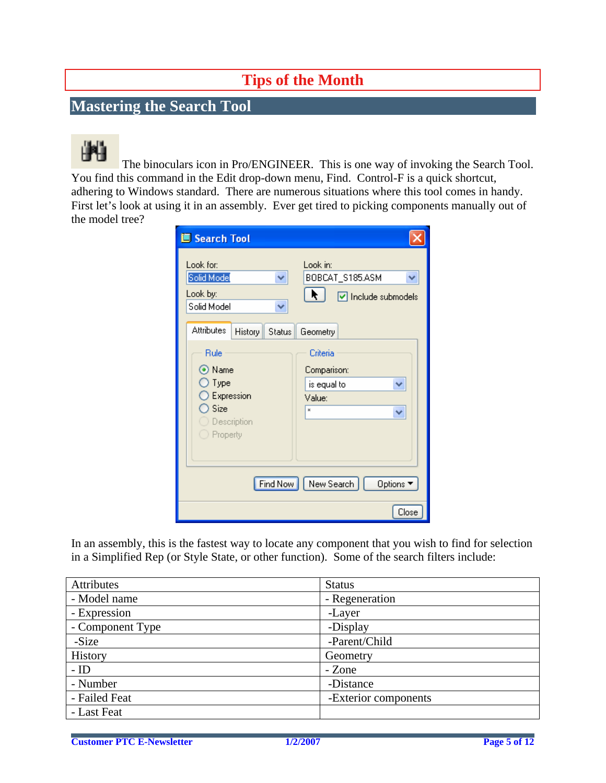# **Tips of the Month**

# <span id="page-4-0"></span>**Mastering the Search Tool**

The binoculars icon in Pro/ENGINEER. This is one way of invoking the Search Tool. You find this command in the Edit drop-down menu, Find. Control-F is a quick shortcut, adhering to Windows standard. There are numerous situations where this tool comes in handy. First let's look at using it in an assembly. Ever get tired to picking components manually out of the model tree?

| <b>IS</b> Search Tool                                                       |                                                                 |
|-----------------------------------------------------------------------------|-----------------------------------------------------------------|
| Look for:<br>Solid Model<br>v<br>Look by:<br>Solid Model<br>v               | Look in:<br>BOBCAT_S185.ASM<br>v<br>□ Include submodels         |
| <b>Attributes</b><br>History<br>Status                                      | Geometry                                                        |
| Rule<br>⊙ Name<br>Type<br>Expression<br>) Size<br>Description<br>) Property | Criteria<br>Comparison:<br>is equal to<br>v<br>Value:<br>×<br>v |
| Find Now                                                                    | New Search<br>Options ▼                                         |
|                                                                             | Close                                                           |

In an assembly, this is the fastest way to locate any component that you wish to find for selection in a Simplified Rep (or Style State, or other function). Some of the search filters include:

| Attributes       | <b>Status</b>        |
|------------------|----------------------|
| - Model name     | - Regeneration       |
| - Expression     | -Layer               |
| - Component Type | -Display             |
| -Size            | -Parent/Child        |
| History          | Geometry             |
| $-$ ID           | - Zone               |
| - Number         | -Distance            |
| - Failed Feat    | -Exterior components |
| - Last Feat      |                      |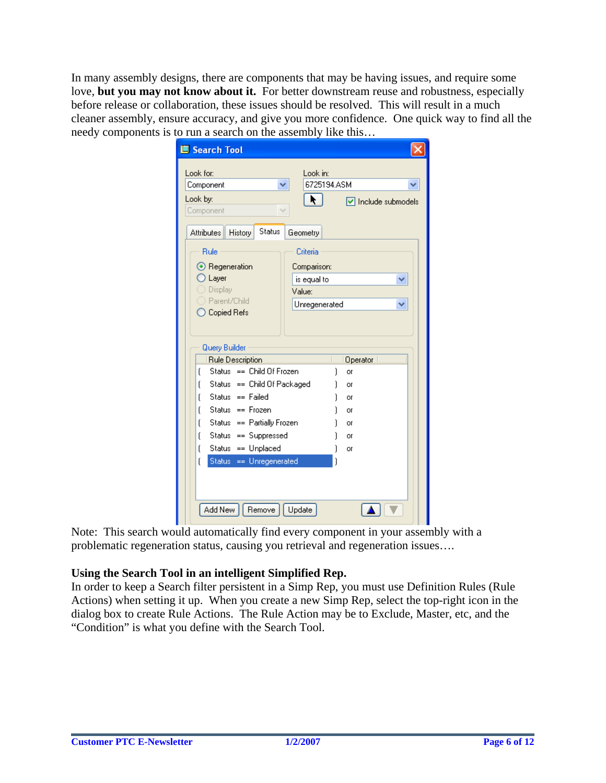In many assembly designs, there are components that may be having issues, and require some love, **but you may not know about it.** For better downstream reuse and robustness, especially before release or collaboration, these issues should be resolved. This will result in a much cleaner assembly, ensure accuracy, and give you more confidence. One quick way to find all the needy components is to run a search on the assembly like this…

| <b>IS Search Tool</b>                         |                                         |
|-----------------------------------------------|-----------------------------------------|
| Look for:<br>Component                        | Look in:<br>6725194 ASM                 |
| Look by:<br>Component                         | k.<br>$\triangledown$ Include submodels |
| Status<br>Attributes<br>History               | Geometry                                |
| Rule                                          | Criteria                                |
| $\odot$ Regeneration                          | Comparison:                             |
| Layer                                         | is equal to                             |
| Display                                       | Value:                                  |
| Parent/Child<br>Copied Refs                   | Unregenerated                           |
|                                               |                                         |
|                                               |                                         |
| <b>Query Builder</b>                          |                                         |
| Rule Description<br>Status == Child Of Frozen | Operator                                |
| ſ<br>Status == Child Of Packaged<br>ſ         | ì<br>or<br>1                            |
| Status == $Failed$<br>ſ                       | or<br>or                                |
| Status == $Frozen$<br>ſ                       | or                                      |
| Status == Partially Frozen<br>ſ               | Oľ                                      |
| Status == Suppressed<br>ſ                     | or                                      |
| Status == Unplaced<br>ſ                       | Οľ                                      |
| Status == Unregenerated<br>ſ                  |                                         |
|                                               |                                         |
|                                               |                                         |
| Add New<br>Remove                             | Update                                  |

Note: This search would automatically find every component in your assembly with a problematic regeneration status, causing you retrieval and regeneration issues….

## **Using the Search Tool in an intelligent Simplified Rep.**

In order to keep a Search filter persistent in a Simp Rep, you must use Definition Rules (Rule Actions) when setting it up. When you create a new Simp Rep, select the top-right icon in the dialog box to create Rule Actions. The Rule Action may be to Exclude, Master, etc, and the "Condition" is what you define with the Search Tool.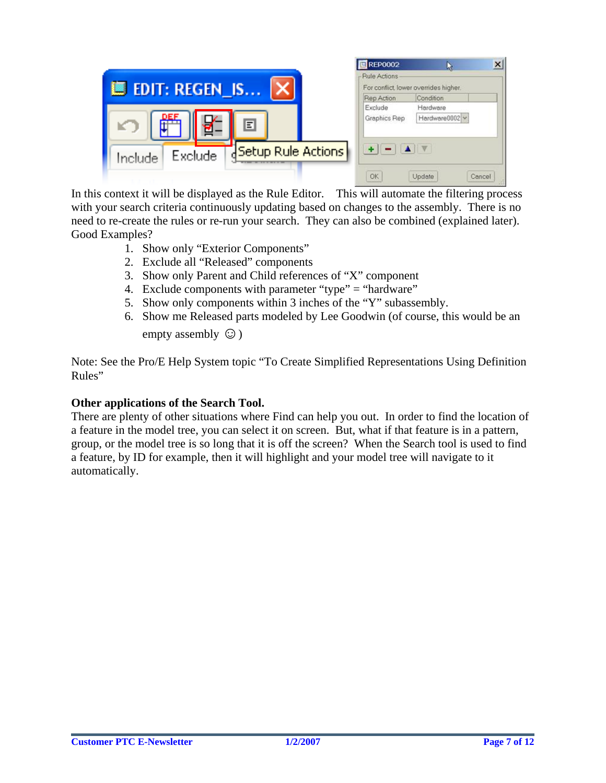| <b>III</b> EDIT: REGEN_IS                              | <b>REP0002</b><br>$\boldsymbol{\mathsf{x}}$<br>- Rule Actions<br>For conflict, lower overrides higher,<br>Condition |
|--------------------------------------------------------|---------------------------------------------------------------------------------------------------------------------|
| <u>DEF</u><br>Ē<br>뎁<br>K J                            | Rep Action<br>Exclude<br>Hardware<br>Hardware0002 v<br>Graphics Rep                                                 |
| <b>Betup Rule Actions</b><br><b>Exclude</b><br>Include | OK<br>Update<br>Cancel                                                                                              |

In this context it will be displayed as the Rule Editor. This will automate the filtering process with your search criteria continuously updating based on changes to the assembly. There is no need to re-create the rules or re-run your search. They can also be combined (explained later). Good Examples?

- 1. Show only "Exterior Components"
- 2. Exclude all "Released" components
- 3. Show only Parent and Child references of "X" component
- 4. Exclude components with parameter "type" = "hardware"
- 5. Show only components within 3 inches of the "Y" subassembly.
- 6. Show me Released parts modeled by Lee Goodwin (of course, this would be an empty assembly  $\odot$ )

Note: See the Pro/E Help System topic "To Create Simplified Representations Using Definition Rules"

## **Other applications of the Search Tool.**

There are plenty of other situations where Find can help you out. In order to find the location of a feature in the model tree, you can select it on screen. But, what if that feature is in a pattern, group, or the model tree is so long that it is off the screen? When the Search tool is used to find a feature, by ID for example, then it will highlight and your model tree will navigate to it automatically.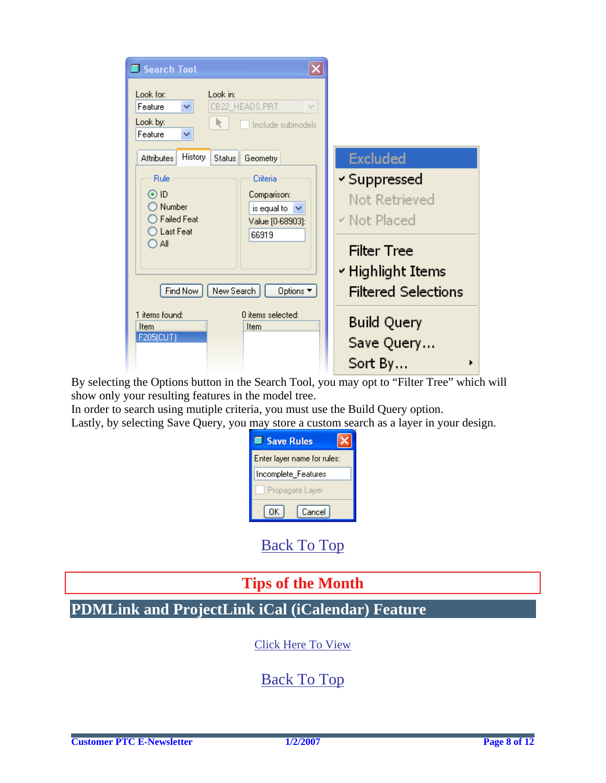<span id="page-7-0"></span>

| Search Tool                                                                                                                                                                  |                                                                                                                        |
|------------------------------------------------------------------------------------------------------------------------------------------------------------------------------|------------------------------------------------------------------------------------------------------------------------|
| Look in:<br>Look for:<br>CB22_HEADS.PRT<br>×.<br>$\lor$<br>Feature<br>Look by:<br>Include submodels<br>Feature<br>v                                                          |                                                                                                                        |
| History<br><b>Attributes</b><br>Geometry<br><b>Status</b>                                                                                                                    | <b>Excluded</b>                                                                                                        |
| Rule<br>Criteria<br>⊙ ID<br>Comparison:<br>Number<br>is equal to<br><b>Failed Feat</b><br>Value [0-68903]:<br>Last Feat<br>66919<br>Αll<br>Find Now<br>New Search<br>Options | √ Suppressed<br>Not Retrieved<br>v Not Placed<br><b>Filter Tree</b><br>∽ Highlight Items<br><b>Filtered Selections</b> |
| 1 items found:<br>f) items selected:<br>Item<br>Item<br>F205(CUT)                                                                                                            | <b>Build Query</b><br>Save Query<br>Sort By                                                                            |

By selecting the Options button in the Search Tool, you may opt to "Filter Tree" which will show only your resulting features in the model tree.

In order to search using mutiple criteria, you must use the Build Query option. Lastly, by selecting Save Query, you may store a custom search as a layer in your design.

| <b>Save Rules</b>           |
|-----------------------------|
| Enter layer name for rules: |
| Incomplete_Features         |
| Propagate Layer             |
| Cancel<br>OK I              |

[Back To Top](#page-0-0)

# **Tips of the Month**

**PDMLink and ProjectLink iCal (iCalendar) Feature**

[Click Here To View](http://members.shaw.ca/jpeng/newsletter/PTC_Technical_Specialists_E-Newsletter_01-01-2007_enterprise.pdf)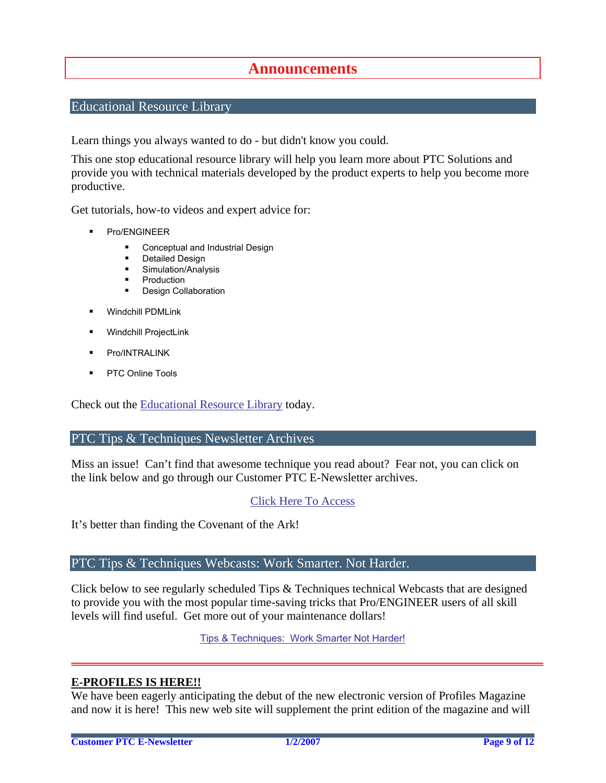## **Announcements**

## <span id="page-8-0"></span>Educational Resource Library

Learn things you always wanted to do - but didn't know you could.

This one stop educational resource library will help you learn more about PTC Solutions and provide you with technical materials developed by the product experts to help you become more productive.

Get tutorials, how-to videos and expert advice for:

- **Pro/ENGINEER** 
	- **EXECONCEPT** Conceptual and Industrial Design
	- **•** Detailed Design
	- **Simulation/Analysis**
	- Production
	- Design Collaboration
- Windchill PDMLink
- Windchill ProjectLink
- Pro/INTRALINK
- **PTC Online Tools**

Check out the [Educational Resource Library](http://www.ptc.com/community/proewf/newtools/tutorials.htm) today.

### PTC Tips & Techniques Newsletter Archives

Miss an issue! Can't find that awesome technique you read about? Fear not, you can click on the link below and go through our Customer PTC E-Newsletter archives.

## [Click Here To Access](http://www.ptc.com/carezone/archive/index.htm)

It's better than finding the Covenant of the Ark!

## PTC Tips & Techniques Webcasts: Work Smarter. Not Harder.

Click below to see regularly scheduled Tips & Techniques technical Webcasts that are designed to provide you with the most popular time-saving tricks that Pro/ENGINEER users of all skill levels will find useful. Get more out of your maintenance dollars!

Tips & Techniques: Work Smarter Not Harder!

## **E-PROFILES IS HERE!!**

We have been eagerly anticipating the debut of the new electronic version of Profiles Magazine and now it is here! This new web site will supplement the print edition of the magazine and will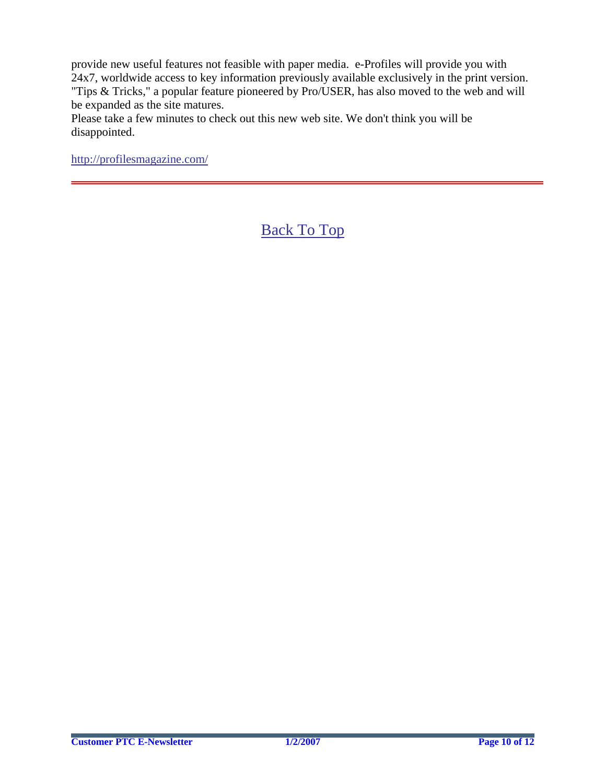provide new useful features not feasible with paper media. e-Profiles will provide you with 24x7, worldwide access to key information previously available exclusively in the print version. "Tips & Tricks," a popular feature pioneered by Pro/USER, has also moved to the web and will be expanded as the site matures.

Please take a few minutes to check out this new web site. We don't think you will be disappointed.

<http://profilesmagazine.com/>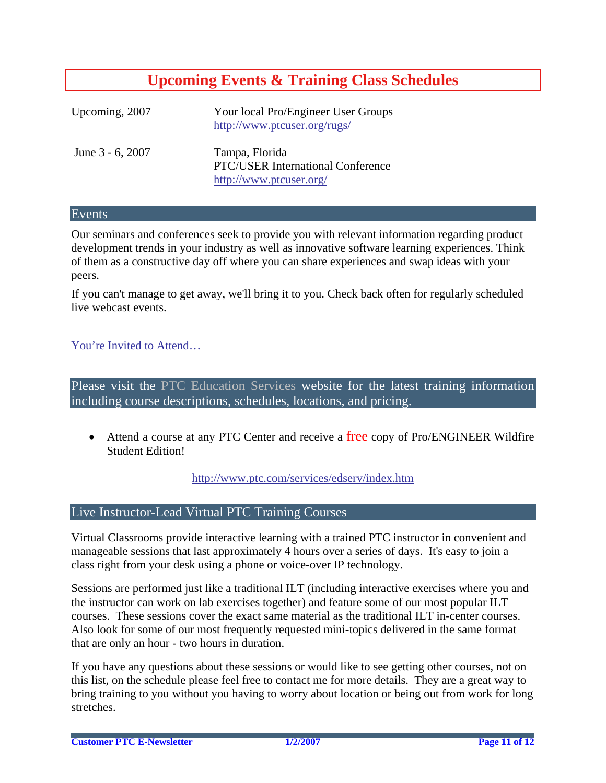# **Upcoming Events & Training Class Schedules**

<span id="page-10-0"></span>

| Upcoming, 2007   | Your local Pro/Engineer User Groups<br>http://www.ptcuser.org/rugs/                   |
|------------------|---------------------------------------------------------------------------------------|
| June 3 - 6, 2007 | Tampa, Florida<br><b>PTC/USER International Conference</b><br>http://www.ptcuser.org/ |

## Events

Our seminars and conferences seek to provide you with relevant information regarding product development trends in your industry as well as innovative software learning experiences. Think of them as a constructive day off where you can share experiences and swap ideas with your peers.

If you can't manage to get away, we'll bring it to you. Check back often for regularly scheduled live webcast events.

## [You're Invited to Attend…](http://www.ptc.com/company/news/events/index.htm)

Please visit the [PTC Education Services](http://www.ptc.com/services/edserv/) website for the latest training information including course descriptions, schedules, locations, and pricing.

• Attend a course at any PTC Center and receive a free copy of Pro/ENGINEER Wildfire Student Edition!

<http://www.ptc.com/services/edserv/index.htm>

## Live Instructor-Lead Virtual PTC Training Courses

Virtual Classrooms provide interactive learning with a trained PTC instructor in convenient and manageable sessions that last approximately 4 hours over a series of days. It's easy to join a class right from your desk using a phone or voice-over IP technology.

Sessions are performed just like a traditional ILT (including interactive exercises where you and the instructor can work on lab exercises together) and feature some of our most popular ILT courses. These sessions cover the exact same material as the traditional ILT in-center courses. Also look for some of our most frequently requested mini-topics delivered in the same format that are only an hour - two hours in duration.

If you have any questions about these sessions or would like to see getting other courses, not on this list, on the schedule please feel free to contact me for more details. They are a great way to bring training to you without you having to worry about location or being out from work for long stretches.